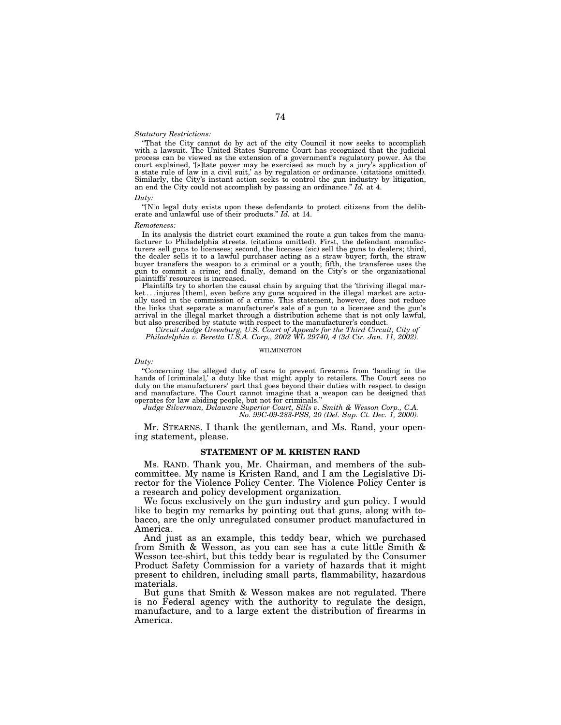## *Statutory Restrictions:*

''That the City cannot do by act of the city Council it now seeks to accomplish with a lawsuit. The United States Supreme Court has recognized that the judicial process can be viewed as the extension of a government's regulatory power. As the court explained, '[s]tate power may be exercised as much by a jury's application of a state rule of law in a civil suit,' as by regulation or ordinance. (citations omitted). Similarly, the City's instant action seeks to control the gun industry by litigation, an end the City could not accomplish by passing an ordinance.'' *Id.* at 4.

## *Duty:*

''[N]o legal duty exists upon these defendants to protect citizens from the deliberate and unlawful use of their products.'' *Id.* at 14.

#### *Remoteness:*

In its analysis the district court examined the route a gun takes from the manufacturer to Philadelphia streets. (citations omitted). First, the defendant manufacturers sell guns to licensees; second, the licenses (sic) sell the guns to dealers; third, the dealer sells it to a lawful purchaser acting as a straw buyer; forth, the straw buyer transfers the weapon to a criminal or a youth; fifth, the transferee uses the gun to commit a crime; and finally, demand on the City's or the organizational plaintiffs' resources is increased.

Plaintiffs try to shorten the causal chain by arguing that the 'thriving illegal market . . . injures [them], even before any guns acquired in the illegal market are actually used in the commission of a crime. This statement, however, does not reduce the links that separate a manufacturer's sale of a gun to a licensee and the gun's arrival in the illegal market through a distribution scheme that is not only lawful, but also prescribed by statute with respect to the manufacturer's conduct.

*Circuit Judge Greenburg, U.S. Court of Appeals for the Third Circuit, City of Philadelphia v. Beretta U.S.A. Corp., 2002 WL 29740, 4 (3d Cir. Jan. 11, 2002).*

## WILMINGTON

*Duty:*

''Concerning the alleged duty of care to prevent firearms from 'landing in the hands of [criminals],' a duty like that might apply to retailers. The Court sees no duty on the manufacturers' part that goes beyond their duties with respect to design and manufacture. The Court cannot imagine that a weapon can be designed that operates for law abiding people, but not for criminals.''

*Judge Silverman, Delaware Superior Court, Sills v. Smith & Wesson Corp., C.A.*

*No. 99C-09-283-PSS, 20 (Del. Sup. Ct. Dec. 1, 2000).*

Mr. STEARNS. I thank the gentleman, and Ms. Rand, your opening statement, please.

## **STATEMENT OF M. KRISTEN RAND**

Ms. RAND. Thank you, Mr. Chairman, and members of the subcommittee. My name is Kristen Rand, and I am the Legislative Director for the Violence Policy Center. The Violence Policy Center is a research and policy development organization.

We focus exclusively on the gun industry and gun policy. I would like to begin my remarks by pointing out that guns, along with tobacco, are the only unregulated consumer product manufactured in America.

And just as an example, this teddy bear, which we purchased from Smith & Wesson, as you can see has a cute little Smith & Wesson tee-shirt, but this teddy bear is regulated by the Consumer Product Safety Commission for a variety of hazards that it might present to children, including small parts, flammability, hazardous materials.

But guns that Smith & Wesson makes are not regulated. There is no Federal agency with the authority to regulate the design, manufacture, and to a large extent the distribution of firearms in America.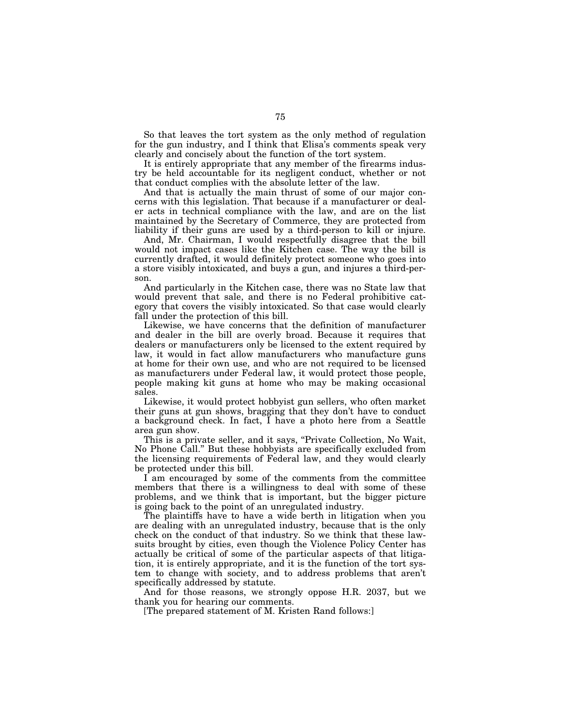So that leaves the tort system as the only method of regulation for the gun industry, and I think that Elisa's comments speak very clearly and concisely about the function of the tort system.

It is entirely appropriate that any member of the firearms industry be held accountable for its negligent conduct, whether or not that conduct complies with the absolute letter of the law.

And that is actually the main thrust of some of our major concerns with this legislation. That because if a manufacturer or dealer acts in technical compliance with the law, and are on the list maintained by the Secretary of Commerce, they are protected from liability if their guns are used by a third-person to kill or injure.

And, Mr. Chairman, I would respectfully disagree that the bill would not impact cases like the Kitchen case. The way the bill is currently drafted, it would definitely protect someone who goes into a store visibly intoxicated, and buys a gun, and injures a third-person.

And particularly in the Kitchen case, there was no State law that would prevent that sale, and there is no Federal prohibitive category that covers the visibly intoxicated. So that case would clearly fall under the protection of this bill.

Likewise, we have concerns that the definition of manufacturer and dealer in the bill are overly broad. Because it requires that dealers or manufacturers only be licensed to the extent required by law, it would in fact allow manufacturers who manufacture guns at home for their own use, and who are not required to be licensed as manufacturers under Federal law, it would protect those people, people making kit guns at home who may be making occasional sales.

Likewise, it would protect hobbyist gun sellers, who often market their guns at gun shows, bragging that they don't have to conduct a background check. In fact, I have a photo here from a Seattle area gun show.

This is a private seller, and it says, "Private Collection, No Wait, No Phone Call.'' But these hobbyists are specifically excluded from the licensing requirements of Federal law, and they would clearly be protected under this bill.

I am encouraged by some of the comments from the committee members that there is a willingness to deal with some of these problems, and we think that is important, but the bigger picture is going back to the point of an unregulated industry.

The plaintiffs have to have a wide berth in litigation when you are dealing with an unregulated industry, because that is the only check on the conduct of that industry. So we think that these lawsuits brought by cities, even though the Violence Policy Center has actually be critical of some of the particular aspects of that litigation, it is entirely appropriate, and it is the function of the tort system to change with society, and to address problems that aren't specifically addressed by statute.

And for those reasons, we strongly oppose H.R. 2037, but we thank you for hearing our comments.

[The prepared statement of M. Kristen Rand follows:]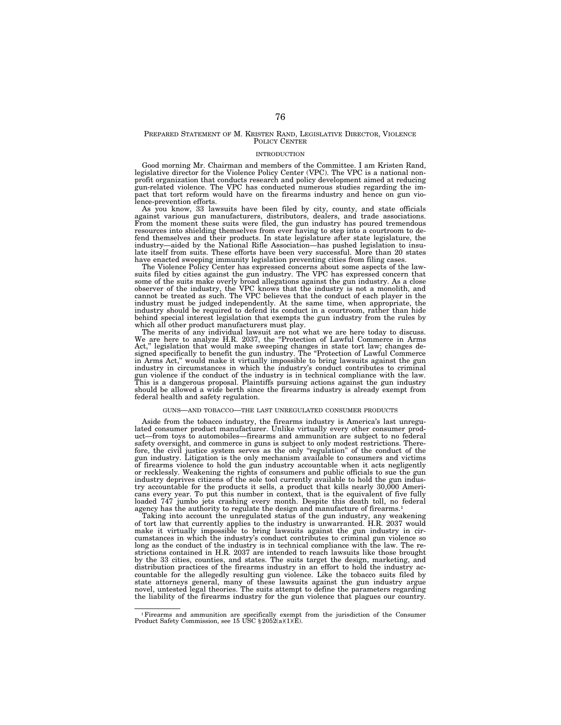## PREPARED STATEMENT OF M. KRISTEN RAND, LEGISLATIVE DIRECTOR, VIOLENCE POLICY CENTER

#### INTRODUCTION

Good morning Mr. Chairman and members of the Committee. I am Kristen Rand, legislative director for the Violence Policy Center (VPC). The VPC is a national nonprofit organization that conducts research and policy development aimed at reducing gun-related violence. The VPC has conducted numerous studies regarding the impact that tort reform would have on the firearms industry and hence on gun violence-prevention efforts.

As you know, 33 lawsuits have been filed by city, county, and state officials against various gun manufacturers, distributors, dealers, and trade associations. From the moment these suits were filed, the gun industry has poured tremendous resources into shielding themselves from ever having to step into a courtroom to defend themselves and their products. In state legislature after state legislature, the industry—aided by the National Rifle Association—has pushed legislation to insulate itself from suits. These efforts have been very successful. More than 20 states have enacted sweeping immunity legislation preventing cities from filing cases.

The Violence Policy Center has expressed concerns about some aspects of the law-suits filed by cities against the gun industry. The VPC has expressed concern that some of the suits make overly broad allegations against the gun industry. As a close observer of the industry, the VPC knows that the industry is not a monolith, and cannot be treated as such. The VPC believes that the conduct of each player in the industry must be judged independently. At the same time, when appropriate, the industry should be required to defend its conduct in a courtroom, rather than hide behind special interest legislation that exempts the gun industry from the rules by

which all other product manufacturers must play. The merits of any individual lawsuit are not what we are here today to discuss. We are here to analyze H.R. 2037, the "Protection of Lawful Commerce in Arms<br>Act," legislation that would make sweeping changes in state tort law: changes delegislation that would make sweeping changes in state tort law; changes designed specifically to benefit the gun industry. The ''Protection of Lawful Commerce in Arms Act,'' would make it virtually impossible to bring lawsuits against the gun industry in circumstances in which the industry's conduct contributes to criminal gun violence if the conduct of the industry is in technical compliance with the law. This is a dangerous proposal. Plaintiffs pursuing actions against the gun industry should be allowed a wide berth since the firearms industry is already exempt from federal health and safety regulation.

#### GUNS—AND TOBACCO—THE LAST UNREGULATED CONSUMER PRODUCTS

Aside from the tobacco industry, the firearms industry is America's last unregu-lated consumer product manufacturer. Unlike virtually every other consumer product—from toys to automobiles—firearms and ammunition are subject to no federal safety oversight, and commerce in guns is subject to only modest restrictions. Therefore, the civil justice system serves as the only "regulation" of the conduct of the gun industry. Litigation is the only mechanism available to consumers and victims of firearms violence to hold the gun industry accountable when it acts negligently or recklessly. Weakening the rights of consumers and public officials to sue the gun industry deprives citizens of the sole tool currently available to hold the gun industry accountable for the products it sells, a product that kills nearly 30,000 Americans every year. To put this number in context, that is the equivalent of five fully loaded 747 jumbo jets crashing every month. Despite this death toll, no federal agency has the authority to regulate the design and manufacture of firearms.<sup>1</sup>

Taking into account the unregulated status of the gun industry, any weakening of tort law that currently applies to the industry is unwarranted. H.R. 2037 would make it virtually impossible to bring lawsuits against the gun industry in circumstances in which the industry's conduct contributes to criminal gun violence so long as the conduct of the industry is in technical compliance with the law. The restrictions contained in H.R. 2037 are intended to reach lawsuits like those brought by the 33 cities, counties, and states. The suits target the design, marketing, and distribution practices of the firearms industry in an effort to hold the industry accountable for the allegedly resulting gun violence. Like the tobacco suits filed by state attorneys general, many of these lawsuits against the gun industry argue novel, untested legal theories. The suits attempt to define the parameters regarding the liability of the firearms industry for the gun violence that plagues our country.

<sup>&</sup>lt;sup>1</sup> Firearms and ammunition are specifically exempt from the jurisdiction of the Consumer Product Safety Commission, see 15 USC  $\S 2052(a)(1)(E)$ .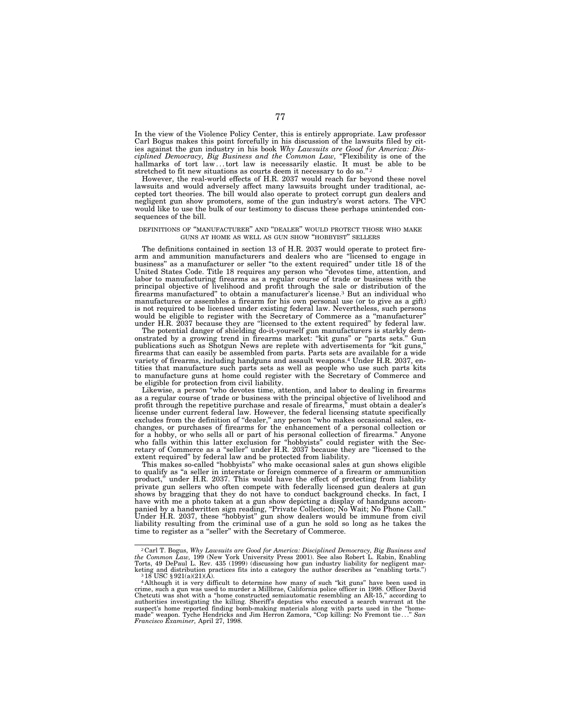In the view of the Violence Policy Center, this is entirely appropriate. Law professor Carl Bogus makes this point forcefully in his discussion of the lawsuits filed by cities against the gun industry in his book *Why Lawsuits are Good for America: Disciplined Democracy, Big Business and the Common Law,* ''Flexibility is one of the hallmarks of tort law...tort law is necessarily elastic. It must be able to be stretched to fit new situations as courts deem it necessary to do so."<sup>2</sup>

However, the real-world effects of H.R. 2037 would reach far beyond these novel lawsuits and would adversely affect many lawsuits brought under traditional, accepted tort theories. The bill would also operate to protect corrupt gun dealers and negligent gun show promoters, some of the gun industry's worst actors. The VPC would like to use the bulk of our testimony to discuss these perhaps unintended consequences of the bill.

## DEFINITIONS OF ''MANUFACTURER'' AND ''DEALER'' WOULD PROTECT THOSE WHO MAKE GUNS AT HOME AS WELL AS GUN SHOW ''HOBBYIST'' SELLERS

The definitions contained in section 13 of H.R. 2037 would operate to protect firearm and ammunition manufacturers and dealers who are ''licensed to engage in business'' as a manufacturer or seller ''to the extent required'' under title 18 of the United States Code. Title 18 requires any person who ''devotes time, attention, and labor to manufacturing firearms as a regular course of trade or business with the principal objective of livelihood and profit through the sale or distribution of the firearms manufactured'' to obtain a manufacturer's license.3 But an individual who manufactures or assembles a firearm for his own personal use (or to give as a gift) is not required to be licensed under existing federal law. Nevertheless, such persons would be eligible to register with the Secretary of Commerce as a ''manufacturer'' under H.R. 2037 because they are ''licensed to the extent required'' by federal law.

The potential danger of shielding do-it-yourself gun manufacturers is starkly demonstrated by a growing trend in firearms market: ''kit guns'' or ''parts sets.'' Gun publications such as Shotgun News are replete with advertisements for ''kit guns,'' firearms that can easily be assembled from parts. Parts sets are available for a wide variety of firearms, including handguns and assault weapons.4 Under H.R. 2037, entities that manufacture such parts sets as well as people who use such parts kits to manufacture guns at home could register with the Secretary of Commerce and be eligible for protection from civil liability.

Likewise, a person ''who devotes time, attention, and labor to dealing in firearms as a regular course of trade or business with the principal objective of livelihood and profit through the repetitive purchase and resale of firearms,'' must obtain a dealer's license under current federal law. However, the federal licensing statute specifically excludes from the definition of "dealer," any person "who makes occasional sales, exchanges, or purchases of firearms for the enhancement of a personal collection or for a hobby, or who sells all or part of his personal collection of firearms.'' Anyone who falls within this latter exclusion for ''hobbyists'' could register with the Secretary of Commerce as a ''seller'' under H.R. 2037 because they are ''licensed to the extent required'' by federal law and be protected from liability.

This makes so-called ''hobbyists'' who make occasional sales at gun shows eligible to qualify as ''a seller in interstate or foreign commerce of a firearm or ammunition product,'' under H.R. 2037. This would have the effect of protecting from liability private gun sellers who often compete with federally licensed gun dealers at gun shows by bragging that they do not have to conduct background checks. In fact, I have with me a photo taken at a gun show depicting a display of handguns accompanied by a handwritten sign reading, ''Private Collection; No Wait; No Phone Call.'' Under H.R. 2037, these ''hobbyist'' gun show dealers would be immune from civil liability resulting from the criminal use of a gun he sold so long as he takes the time to register as a "seller" with the Secretary of Commerce.

<sup>2</sup> Carl T. Bogus, *Why Lawsuits are Good for America: Disciplined Democracy, Big Business and the Common Law,* 199 (New York University Press 2001). See also Robert L. Rabin, Enabling Torts, 49 DePaul L. Rev. 435 (1999) (discussing how gun industry liability for negligent mar-

keting and distribution practices fits into a category the author describes as "enabling torts.")<br><sup>3</sup> 18 USC § 921(a)(21)(A).<br><sup>4</sup> Although it is very difficult to determine how many of such "kit guns" have been used in<br>eri Chetcuti was shot with a "home constructed semiautomatic resembling an AR-15," according to<br>authorities investigating the killing. Sheriff's deputies who executed a search warrant at the<br>suspect's home reported finding bom made'' weapon. Tyche Hendricks and Jim Herron Zamora, ''Cop killing: No Fremont tie...'' *San Francisco Examiner,* April 27, 1998.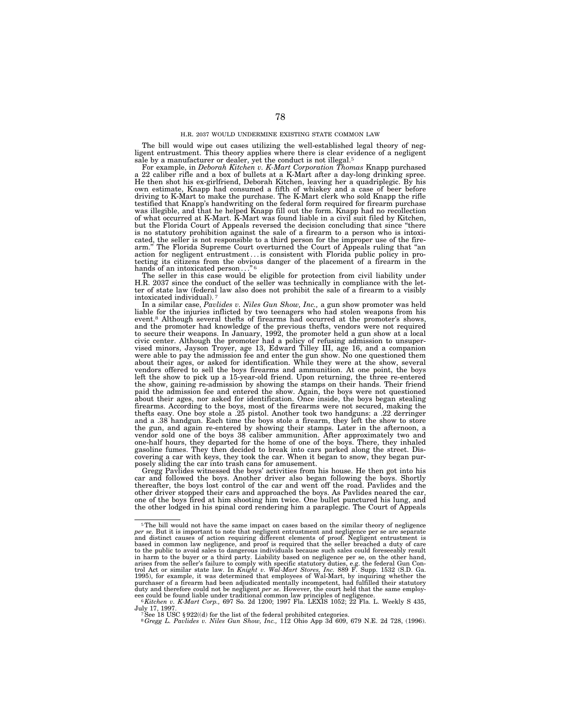## H.R. 2037 WOULD UNDERMINE EXISTING STATE COMMON LAW

The bill would wipe out cases utilizing the well-established legal theory of neg-ligent entrustment. This theory applies where there is clear evidence of a negligent sale by a manufacturer or dealer, yet the conduct is not illegal.5 For example, in *Deborah Kitchen v. K-Mart Corporation Thomas* Knapp purchased

a 22 caliber rifle and a box of bullets at a K-Mart after a day-long drinking spree. He then shot his ex-girlfriend, Deborah Kitchen, leaving her a quadriplegic. By his own estimate, Knapp had consumed a fifth of whiskey and a case of beer before driving to K-Mart to make the purchase. The K-Mart clerk who sold Knapp the rifle testified that Knapp's handwriting on the federal form required for firearm purchase was illegible, and that he helped Knapp fill out the form. Knapp had no recollection of what occurred at K-Mart. K-Mart was found liable in a civil suit filed by Kitchen, but the Florida Court of Appeals reversed the decision concluding that since ''there is no statutory prohibition against the sale of a firearm to a person who is intoxicated, the seller is not responsible to a third person for the improper use of the fire-<br>arm." The Florida Supreme Court overturned the Court of Appeals ruling that "an<br>action for negligent entrustment...is consistent with tecting its citizens from the obvious danger of the placement of a firearm in the hands of an intoxicated person...

The seller in this case would be eligible for protection from civil liability under H.R. 2037 since the conduct of the seller was technically in compliance with the letter of state law (federal law also does not prohibit the sale of a firearm to a visibly intoxicated individual). 7

In a similar case, *Pavlides v. Niles Gun Show, Inc.,* a gun show promoter was held liable for the injuries inflicted by two teenagers who had stolen weapons from his event.8 Although several thefts of firearms had occurred at the promoter's shows, and the promoter had knowledge of the previous thefts, vendors were not required to secure their weapons. In January, 1992, the promoter held a gun show at a local civic center. Although the promoter had a policy of refusing admission to unsupervised minors, Jayson Troyer, age 13, Edward Tilley III, age 16, and a companion were able to pay the admission fee and enter the gun show. No one questioned them about their ages, or asked for identification. While they were at the show, several vendors offered to sell the boys firearms and ammunition. At one point, the boys left the show to pick up a 15-year-old friend. Upon returning, the three re-entered the show, gaining re-admission by showing the stamps on their hands. Their friend paid the admission fee and entered the show. Again, the boys were not questioned about their ages, nor asked for identification. Once inside, the boys began stealing firearms. According to the boys, most of the firearms were not secured, making the thefts easy. One boy stole a .25 pistol. Another took two handguns: a .22 derringer and a .38 handgun. Each time the boys stole a firearm, they left the show to store the gun, and again re-entered by showing their stamps. Later in the afternoon, a vendor sold one of the boys 38 caliber ammunition. After approximately two and one-half hours, they departed for the home of one of the boys. There, they inhaled gasoline fumes. They then decided to break into cars parked along the street. Discovering a car with keys, they took the car. When it began to snow, they began purposely sliding the car into trash cans for amusement.

Gregg Pavlides witnessed the boys' activities from his house. He then got into his car and followed the boys. Another driver also began following the boys. Shortly thereafter, the boys lost control of the car and went off the road. Pavlides and the other driver stopped their cars and approached the boys. As Pavlides neared the car, one of the boys fired at him shooting him twice. One bullet punctured his lung, and the other lodged in his spinal cord rendering him a paraplegic. The Court of Appeals

<sup>5</sup>The bill would not have the same impact on cases based on the similar theory of negligence per se. But it is important to note that negligent entrustment and negligence per se are separate<br>and distinct causes of action requiring different elements of proof. Negligent entrustment is<br>based in common law negligence in harm to the buyer or a third party. Liability based on negligence per se, on the other hand,<br>arises from the seller's failure to comply with specific statutory duties, e.g. the federal Gun Con-<br>trol Act or similar state 1995), for example, it was determined that employees of Wal-Mart, by inquiring whether the<br>purchaser of a firearm had been adjudicated mentally incompetent, had fulfilled their statutory<br>duty and therefore could not be neg

ees could be found liable under traditional common law principles of negligence.<br>
<sup>6</sup> *Kitchen v. K-Mart Corp.*, 697 So. 2d 1200; 1997 Fla. LEXIS 1052; 22 Fla. L. Weekly S 435, July 17, 1997.

uy 11, 1997.<br>7See 18 USC § 922((d) for the list of the federal prohibited categories.<br><sup>8</sup>*Gregg L. Pavlides v. Niles Gun Show, Inc.,* 112 Ohio App 3d 609, 679 N.E. 2d 728, (1996).